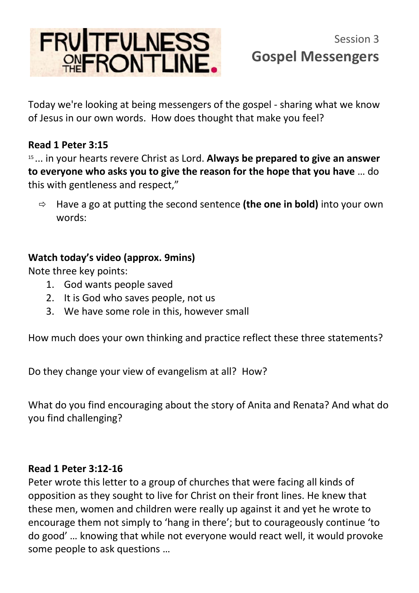## FRUITFULNESS<br>REFRONTLINE.

Today we're looking at being messengers of the gospel - sharing what we know of Jesus in our own words. How does thought that make you feel?

## **Read 1 Peter 3:15**

<sup>15</sup>... in your hearts revere Christ as Lord. **Always be prepared to give an answer to everyone who asks you to give the reason for the hope that you have** … do this with gentleness and respect,"

 Have a go at putting the second sentence **(the one in bold)** into your own words:

## **Watch today's video (approx. 9mins)**

Note three key points:

- 1. God wants people saved
- 2. It is God who saves people, not us
- 3. We have some role in this, however small

How much does your own thinking and practice reflect these three statements?

Do they change your view of evangelism at all? How?

What do you find encouraging about the story of Anita and Renata? And what do you find challenging?

## **Read 1 Peter 3:12-16**

Peter wrote this letter to a group of churches that were facing all kinds of opposition as they sought to live for Christ on their front lines. He knew that these men, women and children were really up against it and yet he wrote to encourage them not simply to 'hang in there'; but to courageously continue 'to do good' … knowing that while not everyone would react well, it would provoke some people to ask questions …